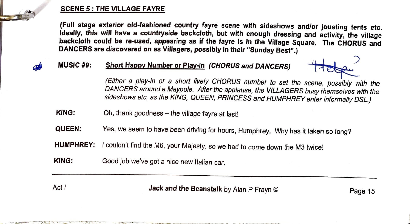## **SCENE 5 : THE VILLAGE FAYRE**

**(Full stage exterior old-fashioned country fayre scene with sideshows and/or jousting tents etc. Ideally, this will have a countryside backcloth, but with enough dressing and activity, the village backcloth could be re-used, appearing as if the fayre is in the Village Square. The CHORUS and DANCERS are discovered on as Villagers, possibly in their "Sunday Best".) Short Happy Number or Play-in** *(CHORUS and DANCERS)*<br>Short Happy Number or Play-in *(CHORUS and DANCERS)* 

## **MUSIC#9:**

 $\overline{\mathsf{I}}$ 

*(Either a play-in or a short lively CHORUS number to set the scene, possibly with the DANCERS around a Maypole. After the applause, the VILLAGERS busy themselves with the sideshows etc, as the KING, QUEEN, PRINCESS and HUMPHREY enter informally DSL.)* 

- **KING:**  Oh, thank goodness - the village fayre at last!
- **QUEEN:**  Yes, we seem to have been *driving* for hours, Humphrey. Why has it taken so long?
- **HUMPHREY:** I couldn't find the M6, your Majesty, so we had to come down the M3 twice!
- **KING:** Good job *we've* got a nice new Italian car.

 $\mathbb{P}_\mathcal{P} = \mathbb{P}_\mathcal{P} = \mathbb{P}_\mathcal{P} = \mathbb{P}_\mathcal{P} = \mathbb{P}_\mathcal{P}$  . The set of  $\mathcal{P}_\mathcal{P} = \mathbb{P}_\mathcal{P}$ 

Act I **Jack and the Beanstalk** by Alan P Frayn © Page 15